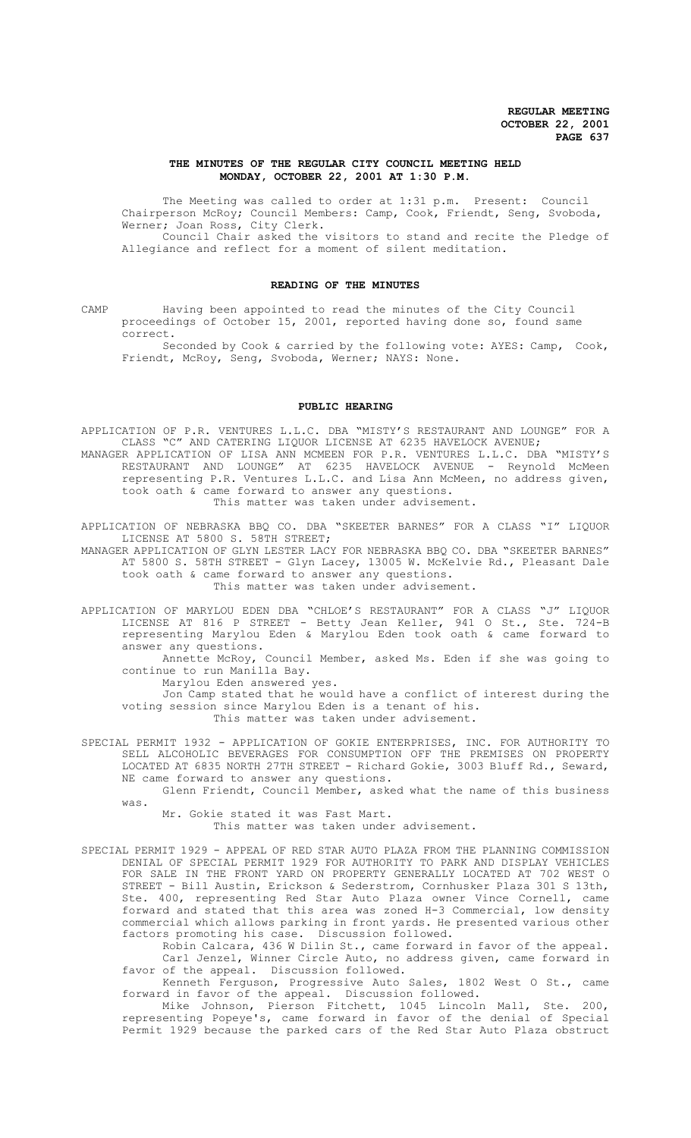## **THE MINUTES OF THE REGULAR CITY COUNCIL MEETING HELD MONDAY, OCTOBER 22, 2001 AT 1:30 P.M.**

The Meeting was called to order at 1:31 p.m. Present: Council Chairperson McRoy; Council Members: Camp, Cook, Friendt, Seng, Svoboda, Werner; Joan Ross, City Clerk.

Council Chair asked the visitors to stand and recite the Pledge of Allegiance and reflect for a moment of silent meditation.

## **READING OF THE MINUTES**

CAMP Having been appointed to read the minutes of the City Council proceedings of October 15, 2001, reported having done so, found same correct.

Seconded by Cook & carried by the following vote: AYES: Camp, Cook, Friendt, McRoy, Seng, Svoboda, Werner; NAYS: None.

## **PUBLIC HEARING**

APPLICATION OF P.R. VENTURES L.L.C. DBA "MISTY'S RESTAURANT AND LOUNGE" FOR A CLASS "C" AND CATERING LIQUOR LICENSE AT 6235 HAVELOCK AVENUE; MANAGER APPLICATION OF LISA ANN MCMEEN FOR P.R. VENTURES L.L.C. DBA "MISTY'S RESTAURANT AND LOUNGE" AT 6235 HAVELOCK AVENUE - Reynold McMeen representing P.R. Ventures L.L.C. and Lisa Ann McMeen, no address given, took oath & came forward to answer any questions. This matter was taken under advisement.

APPLICATION OF NEBRASKA BBQ CO. DBA "SKEETER BARNES" FOR A CLASS "I" LIQUOR LICENSE AT 5800 S. 58TH STREET;

MANAGER APPLICATION OF GLYN LESTER LACY FOR NEBRASKA BBQ CO. DBA "SKEETER BARNES" AT 5800 S. 58TH STREET - Glyn Lacey, 13005 W. McKelvie Rd., Pleasant Dale took oath & came forward to answer any questions. This matter was taken under advisement.

APPLICATION OF MARYLOU EDEN DBA "CHLOE'S RESTAURANT" FOR A CLASS "J" LIQUOR LICENSE AT 816 P STREET - Betty Jean Keller, 941 O St., Ste. 724-B representing Marylou Eden & Marylou Eden took oath & came forward to answer any questions.

Annette McRoy, Council Member, asked Ms. Eden if she was going to continue to run Manilla Bay. Marylou Eden answered yes.

Jon Camp stated that he would have a conflict of interest during the voting session since Marylou Eden is a tenant of his. This matter was taken under advisement.

SPECIAL PERMIT 1932 - APPLICATION OF GOKIE ENTERPRISES, INC. FOR AUTHORITY TO SELL ALCOHOLIC BEVERAGES FOR CONSUMPTION OFF THE PREMISES ON PROPERTY LOCATED AT 6835 NORTH 27TH STREET - Richard Gokie, 3003 Bluff Rd., Seward, NE came forward to answer any questions.

Glenn Friendt, Council Member, asked what the name of this business was.

Mr. Gokie stated it was Fast Mart.

This matter was taken under advisement.

SPECIAL PERMIT 1929 - APPEAL OF RED STAR AUTO PLAZA FROM THE PLANNING COMMISSION DENIAL OF SPECIAL PERMIT 1929 FOR AUTHORITY TO PARK AND DISPLAY VEHICLES FOR SALE IN THE FRONT YARD ON PROPERTY GENERALLY LOCATED AT 702 WEST O STREET - Bill Austin, Erickson & Sederstrom, Cornhusker Plaza 301 S 13th, Ste. 400, representing Red Star Auto Plaza owner Vince Cornell, came forward and stated that this area was zoned H-3 Commercial, low density commercial which allows parking in front yards. He presented various other factors promoting his case. Discussion followed.

Robin Calcara, 436 W Dilin St., came forward in favor of the appeal. Carl Jenzel, Winner Circle Auto, no address given, came forward in favor of the appeal. Discussion followed.

Kenneth Ferguson, Progressive Auto Sales, 1802 West O St., came forward in favor of the appeal. Discussion followed.

Mike Johnson, Pierson Fitchett, 1045 Lincoln Mall, Ste. 200, representing Popeye's, came forward in favor of the denial of Special Permit 1929 because the parked cars of the Red Star Auto Plaza obstruct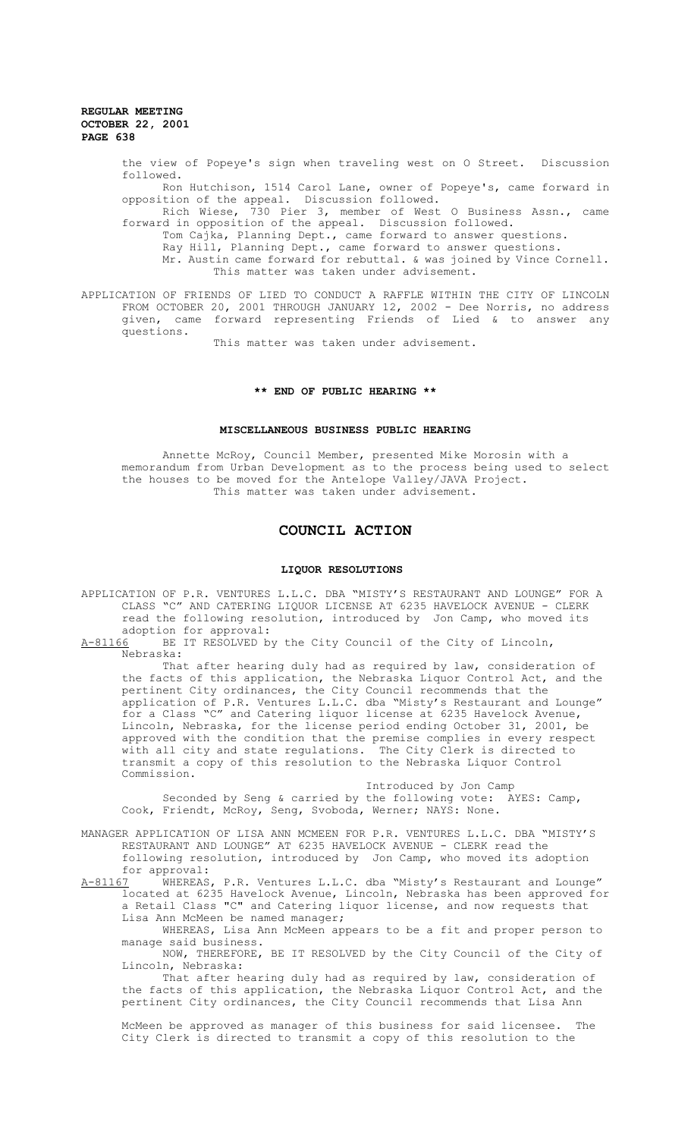the view of Popeye's sign when traveling west on O Street. Discussion followed. Ron Hutchison, 1514 Carol Lane, owner of Popeye's, came forward in opposition of the appeal. Discussion followed. Rich Wiese, 730 Pier 3, member of West O Business Assn., came forward in opposition of the appeal. Discussion followed.

Tom Cajka, Planning Dept., came forward to answer questions. Ray Hill, Planning Dept., came forward to answer questions. Mr. Austin came forward for rebuttal. & was joined by Vince Cornell. This matter was taken under advisement.

APPLICATION OF FRIENDS OF LIED TO CONDUCT A RAFFLE WITHIN THE CITY OF LINCOLN FROM OCTOBER 20, 2001 THROUGH JANUARY 12, 2002 - Dee Norris, no address given, came forward representing Friends of Lied & to answer any questions.

This matter was taken under advisement.

## **\*\* END OF PUBLIC HEARING \*\***

# **MISCELLANEOUS BUSINESS PUBLIC HEARING**

Annette McRoy, Council Member, presented Mike Morosin with a memorandum from Urban Development as to the process being used to select the houses to be moved for the Antelope Valley/JAVA Project. This matter was taken under advisement.

# **COUNCIL ACTION**

#### **LIQUOR RESOLUTIONS**

APPLICATION OF P.R. VENTURES L.L.C. DBA "MISTY'S RESTAURANT AND LOUNGE" FOR A CLASS "C" AND CATERING LIQUOR LICENSE AT 6235 HAVELOCK AVENUE - CLERK read the following resolution, introduced by Jon Camp, who moved its adoption for approval:

A-81166 BE IT RESOLVED by the City Council of the City of Lincoln, Nebraska:

That after hearing duly had as required by law, consideration of the facts of this application, the Nebraska Liquor Control Act, and the pertinent City ordinances, the City Council recommends that the application of P.R. Ventures L.L.C. dba "Misty's Restaurant and Lounge" for a Class "C" and Catering liquor license at 6235 Havelock Avenue, Lincoln, Nebraska, for the license period ending October 31, 2001, be approved with the condition that the premise complies in every respect with all city and state regulations. The City Clerk is directed to transmit a copy of this resolution to the Nebraska Liquor Control Commission.

Introduced by Jon Camp Seconded by Seng & carried by the following vote: AYES: Camp, Cook, Friendt, McRoy, Seng, Svoboda, Werner; NAYS: None.

MANAGER APPLICATION OF LISA ANN MCMEEN FOR P.R. VENTURES L.L.C. DBA "MISTY'S RESTAURANT AND LOUNGE" AT 6235 HAVELOCK AVENUE - CLERK read the following resolution, introduced by Jon Camp, who moved its adoption for approval:<br><u>A-81167</u> WHEREAS

WHEREAS, P.R. Ventures L.L.C. dba "Misty's Restaurant and Lounge" located at 6235 Havelock Avenue, Lincoln, Nebraska has been approved for a Retail Class "C" and Catering liquor license, and now requests that Lisa Ann McMeen be named manager;

WHEREAS, Lisa Ann McMeen appears to be a fit and proper person to manage said business.

NOW, THEREFORE, BE IT RESOLVED by the City Council of the City of Lincoln, Nebraska:

That after hearing duly had as required by law, consideration of the facts of this application, the Nebraska Liquor Control Act, and the pertinent City ordinances, the City Council recommends that Lisa Ann

McMeen be approved as manager of this business for said licensee. The City Clerk is directed to transmit a copy of this resolution to the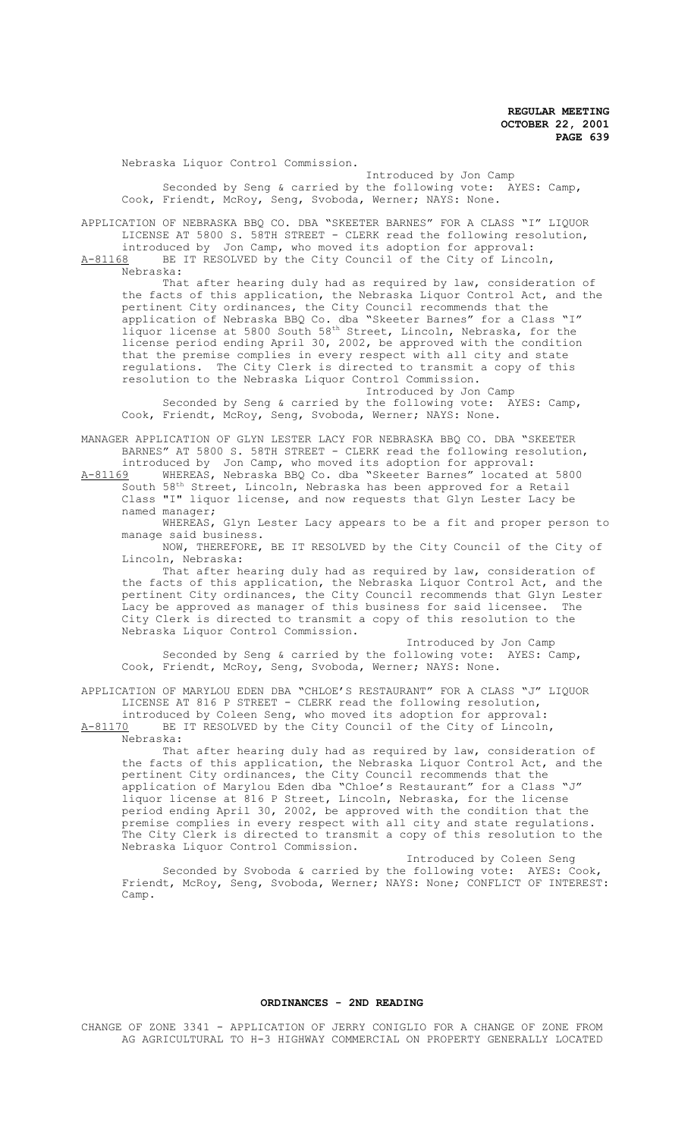Nebraska Liquor Control Commission.

Introduced by Jon Camp Seconded by Seng & carried by the following vote: AYES: Camp, Cook, Friendt, McRoy, Seng, Svoboda, Werner; NAYS: None.

APPLICATION OF NEBRASKA BBQ CO. DBA "SKEETER BARNES" FOR A CLASS "I" LIQUOR LICENSE AT 5800 S. 58TH STREET - CLERK read the following resolution, introduced by Jon Camp, who moved its adoption for approval:<br>A-81168 BE IT RESOLVED by the City Council of the City of Linco

BE IT RESOLVED by the City Council of the City of Lincoln, Nebraska:

That after hearing duly had as required by law, consideration of the facts of this application, the Nebraska Liquor Control Act, and the pertinent City ordinances, the City Council recommends that the application of Nebraska BBQ Co. dba "Skeeter Barnes" for a Class "I" liquor license at 5800 South 58<sup>th</sup> Street, Lincoln, Nebraska, for the license period ending April 30, 2002, be approved with the condition that the premise complies in every respect with all city and state regulations. The City Clerk is directed to transmit a copy of this resolution to the Nebraska Liquor Control Commission.

Introduced by Jon Camp

Seconded by Seng & carried by the following vote: AYES: Camp, Cook, Friendt, McRoy, Seng, Svoboda, Werner; NAYS: None.

MANAGER APPLICATION OF GLYN LESTER LACY FOR NEBRASKA BBQ CO. DBA "SKEETER BARNES" AT 5800 S. 58TH STREET - CLERK read the following resolution, introduced by Jon Camp, who moved its adoption for approval:

A-81169 WHEREAS, Nebraska BBQ Co. dba "Skeeter Barnes" located at 5800 South 58th Street, Lincoln, Nebraska has been approved for a Retail Class "I" liquor license, and now requests that Glyn Lester Lacy be named manager;

WHEREAS, Glyn Lester Lacy appears to be a fit and proper person to manage said business.

NOW, THEREFORE, BE IT RESOLVED by the City Council of the City of Lincoln, Nebraska:

That after hearing duly had as required by law, consideration of the facts of this application, the Nebraska Liquor Control Act, and the pertinent City ordinances, the City Council recommends that Glyn Lester<br>Lacy be approved as manager of this business for said licensee. The Lacy be approved as manager of this business for said licensee. City Clerk is directed to transmit a copy of this resolution to the Nebraska Liquor Control Commission.

Introduced by Jon Camp Seconded by Seng & carried by the following vote: AYES: Camp, Cook, Friendt, McRoy, Seng, Svoboda, Werner; NAYS: None.

APPLICATION OF MARYLOU EDEN DBA "CHLOE'S RESTAURANT" FOR A CLASS "J" LIQUOR LICENSE AT 816 P STREET - CLERK read the following resolution, introduced by Coleen Seng, who moved its adoption for approval:<br>A-81170 BE IT RESOLVED by the City Council of the City of Lincoln

BE IT RESOLVED by the City Council of the City of Lincoln, Nebraska:

That after hearing duly had as required by law, consideration of the facts of this application, the Nebraska Liquor Control Act, and the pertinent City ordinances, the City Council recommends that the application of Marylou Eden dba "Chloe's Restaurant" for a Class "J" liquor license at 816 P Street, Lincoln, Nebraska, for the license period ending April 30, 2002, be approved with the condition that the premise complies in every respect with all city and state regulations. The City Clerk is directed to transmit a copy of this resolution to the Nebraska Liquor Control Commission.

Introduced by Coleen Seng Seconded by Svoboda & carried by the following vote: AYES: Cook, Friendt, McRoy, Seng, Svoboda, Werner; NAYS: None; CONFLICT OF INTEREST: Camp.

#### **ORDINANCES - 2ND READING**

CHANGE OF ZONE 3341 - APPLICATION OF JERRY CONIGLIO FOR A CHANGE OF ZONE FROM AG AGRICULTURAL TO H-3 HIGHWAY COMMERCIAL ON PROPERTY GENERALLY LOCATED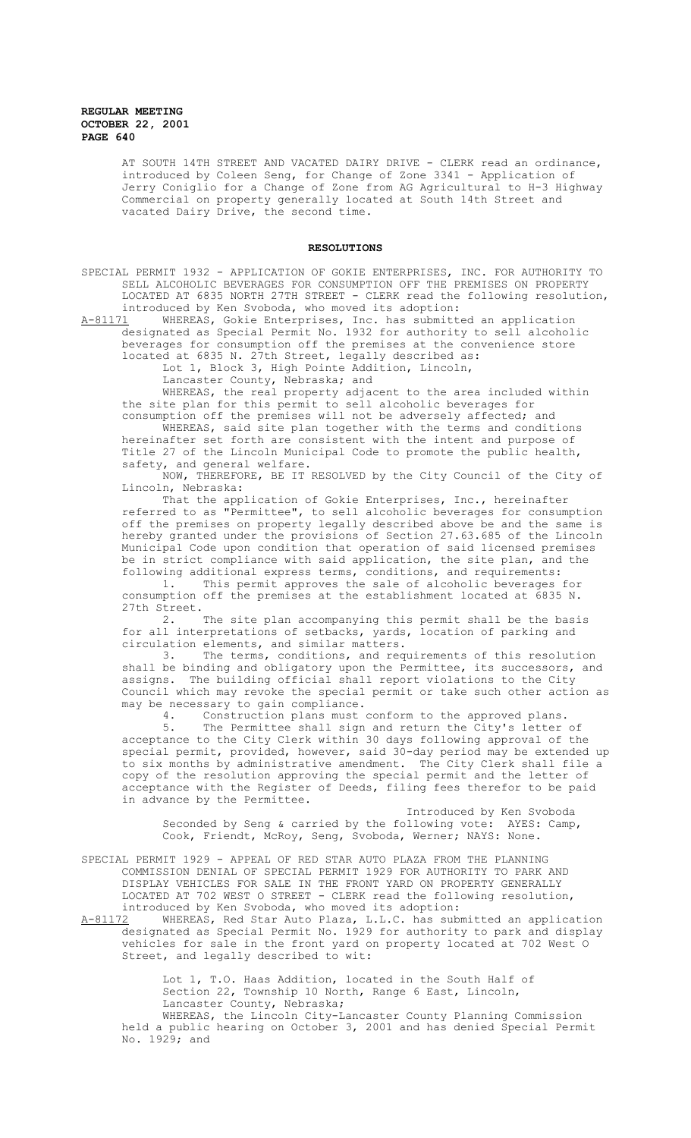AT SOUTH 14TH STREET AND VACATED DAIRY DRIVE - CLERK read an ordinance, introduced by Coleen Seng, for Change of Zone 3341 - Application of Jerry Coniglio for a Change of Zone from AG Agricultural to H-3 Highway Commercial on property generally located at South 14th Street and vacated Dairy Drive, the second time.

### **RESOLUTIONS**

SPECIAL PERMIT 1932 - APPLICATION OF GOKIE ENTERPRISES, INC. FOR AUTHORITY TO SELL ALCOHOLIC BEVERAGES FOR CONSUMPTION OFF THE PREMISES ON PROPERTY LOCATED AT 6835 NORTH 27TH STREET - CLERK read the following resolution, introduced by Ken Svoboda, who moved its adoption:<br>A-81171 WHEREAS, Gokie Enterprises, Inc. has submitt

A-81171 WHEREAS, Gokie Enterprises, Inc. has submitted an application designated as Special Permit No. 1932 for authority to sell alcoholic beverages for consumption off the premises at the convenience store located at 6835 N. 27th Street, legally described as:

Lot 1, Block 3, High Pointe Addition, Lincoln,

Lancaster County, Nebraska; and

WHEREAS, the real property adjacent to the area included within the site plan for this permit to sell alcoholic beverages for consumption off the premises will not be adversely affected; and

WHEREAS, said site plan together with the terms and conditions hereinafter set forth are consistent with the intent and purpose of Title 27 of the Lincoln Municipal Code to promote the public health, safety, and general welfare.

NOW, THEREFORE, BE IT RESOLVED by the City Council of the City of Lincoln, Nebraska:

That the application of Gokie Enterprises, Inc., hereinafter referred to as "Permittee", to sell alcoholic beverages for consumption off the premises on property legally described above be and the same is hereby granted under the provisions of Section 27.63.685 of the Lincoln Municipal Code upon condition that operation of said licensed premises be in strict compliance with said application, the site plan, and the following additional express terms, conditions, and requirements:

1. This permit approves the sale of alcoholic beverages for consumption off the premises at the establishment located at 6835 N. 27th Street.<br> $2.$ 

The site plan accompanying this permit shall be the basis for all interpretations of setbacks, yards, location of parking and circulation elements, and similar matters.

3. The terms, conditions, and requirements of this resolution shall be binding and obligatory upon the Permittee, its successors, and assigns. The building official shall report violations to the City Council which may revoke the special permit or take such other action as may be necessary to gain compliance.<br>4. Construction plans must

Construction plans must conform to the approved plans. 5. The Permittee shall sign and return the City's letter of acceptance to the City Clerk within 30 days following approval of the special permit, provided, however, said 30-day period may be extended up to six months by administrative amendment. The City Clerk shall file a copy of the resolution approving the special permit and the letter of acceptance with the Register of Deeds, filing fees therefor to be paid in advance by the Permittee.

Introduced by Ken Svoboda Seconded by Seng & carried by the following vote: AYES: Camp, Cook, Friendt, McRoy, Seng, Svoboda, Werner; NAYS: None.

SPECIAL PERMIT 1929 - APPEAL OF RED STAR AUTO PLAZA FROM THE PLANNING COMMISSION DENIAL OF SPECIAL PERMIT 1929 FOR AUTHORITY TO PARK AND DISPLAY VEHICLES FOR SALE IN THE FRONT YARD ON PROPERTY GENERALLY LOCATED AT 702 WEST O STREET - CLERK read the following resolution, introduced by Ken Svoboda, who moved its adoption:<br>A-81172 WHEREAS, Red Star Auto Plaza, L.L.C. has sub

A-81172 WHEREAS, Red Star Auto Plaza, L.L.C. has submitted an application designated as Special Permit No. 1929 for authority to park and display vehicles for sale in the front yard on property located at 702 West O Street, and legally described to wit:

> Lot 1, T.O. Haas Addition, located in the South Half of Section 22, Township 10 North, Range 6 East, Lincoln, Lancaster County, Nebraska;

WHEREAS, the Lincoln City-Lancaster County Planning Commission held a public hearing on October 3, 2001 and has denied Special Permit No. 1929; and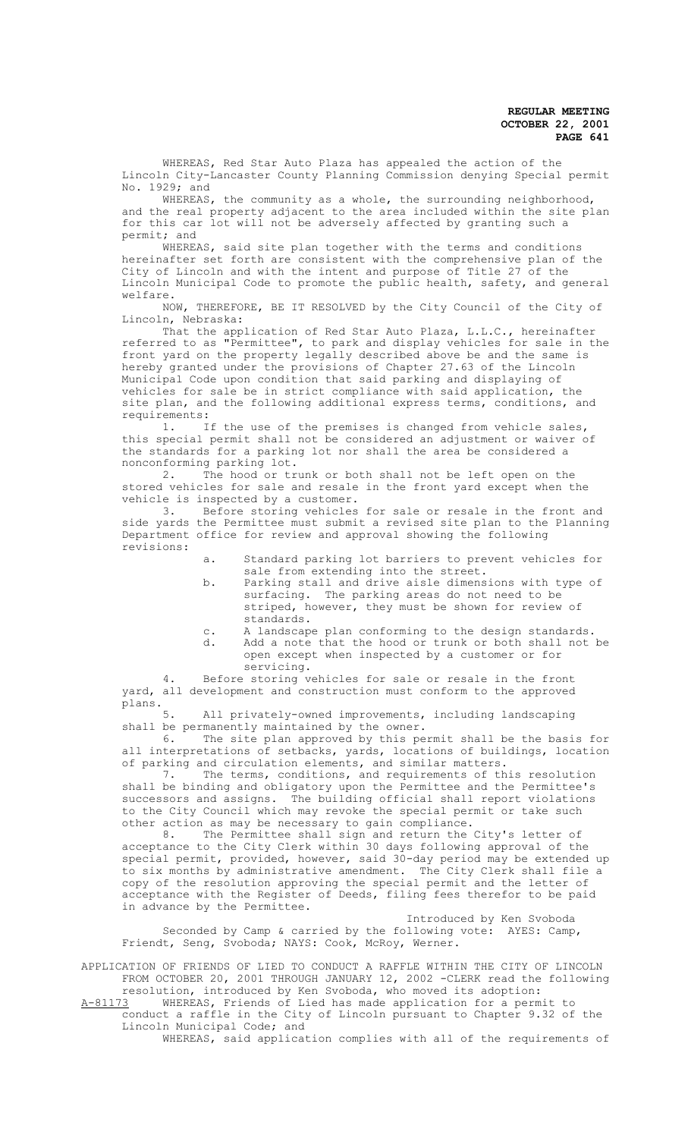WHEREAS, Red Star Auto Plaza has appealed the action of the Lincoln City-Lancaster County Planning Commission denying Special permit No. 1929; and

WHEREAS, the community as a whole, the surrounding neighborhood, and the real property adjacent to the area included within the site plan for this car lot will not be adversely affected by granting such a permit; and

WHEREAS, said site plan together with the terms and conditions hereinafter set forth are consistent with the comprehensive plan of the City of Lincoln and with the intent and purpose of Title 27 of the Lincoln Municipal Code to promote the public health, safety, and general welfare.

NOW, THEREFORE, BE IT RESOLVED by the City Council of the City of Lincoln, Nebraska:

That the application of Red Star Auto Plaza, L.L.C., hereinafter referred to as "Permittee", to park and display vehicles for sale in the front yard on the property legally described above be and the same is hereby granted under the provisions of Chapter 27.63 of the Lincoln Municipal Code upon condition that said parking and displaying of vehicles for sale be in strict compliance with said application, the site plan, and the following additional express terms, conditions, and requirements:

1. If the use of the premises is changed from vehicle sales, this special permit shall not be considered an adjustment or waiver of the standards for a parking lot nor shall the area be considered a nonconforming parking lot.<br>2. The hood or tr

The hood or trunk or both shall not be left open on the stored vehicles for sale and resale in the front yard except when the vehicle is inspected by a customer.

3. Before storing vehicles for sale or resale in the front and side yards the Permittee must submit a revised site plan to the Planning Department office for review and approval showing the following revisions:

- a. Standard parking lot barriers to prevent vehicles for sale from extending into the street.
- b. Parking stall and drive aisle dimensions with type of surfacing. The parking areas do not need to be striped, however, they must be shown for review of standards.
- c. A landscape plan conforming to the design standards. d. Add a note that the hood or trunk or both shall not be open except when inspected by a customer or for servicing.

Before storing vehicles for sale or resale in the front yard, all development and construction must conform to the approved plans.<br>5

All privately-owned improvements, including landscaping shall be permanently maintained by the owner.

6. The site plan approved by this permit shall be the basis for all interpretations of setbacks, yards, locations of buildings, location of parking and circulation elements, and similar matters.

7. The terms, conditions, and requirements of this resolution shall be binding and obligatory upon the Permittee and the Permittee's successors and assigns. The building official shall report violations to the City Council which may revoke the special permit or take such other action as may be necessary to gain compliance.<br>8. The Permittee shall sign and return the

The Permittee shall sign and return the City's letter of acceptance to the City Clerk within 30 days following approval of the special permit, provided, however, said 30-day period may be extended up to six months by administrative amendment. The City Clerk shall file a copy of the resolution approving the special permit and the letter of acceptance with the Register of Deeds, filing fees therefor to be paid in advance by the Permittee.

Introduced by Ken Svoboda Seconded by Camp & carried by the following vote: AYES: Camp, Friendt, Seng, Svoboda; NAYS: Cook, McRoy, Werner.

APPLICATION OF FRIENDS OF LIED TO CONDUCT A RAFFLE WITHIN THE CITY OF LINCOLN FROM OCTOBER 20, 2001 THROUGH JANUARY 12, 2002 -CLERK read the following resolution, introduced by Ken Svoboda, who moved its adoption:

A-81173 WHEREAS, Friends of Lied has made application for a permit to conduct a raffle in the City of Lincoln pursuant to Chapter 9.32 of the Lincoln Municipal Code; and

WHEREAS, said application complies with all of the requirements of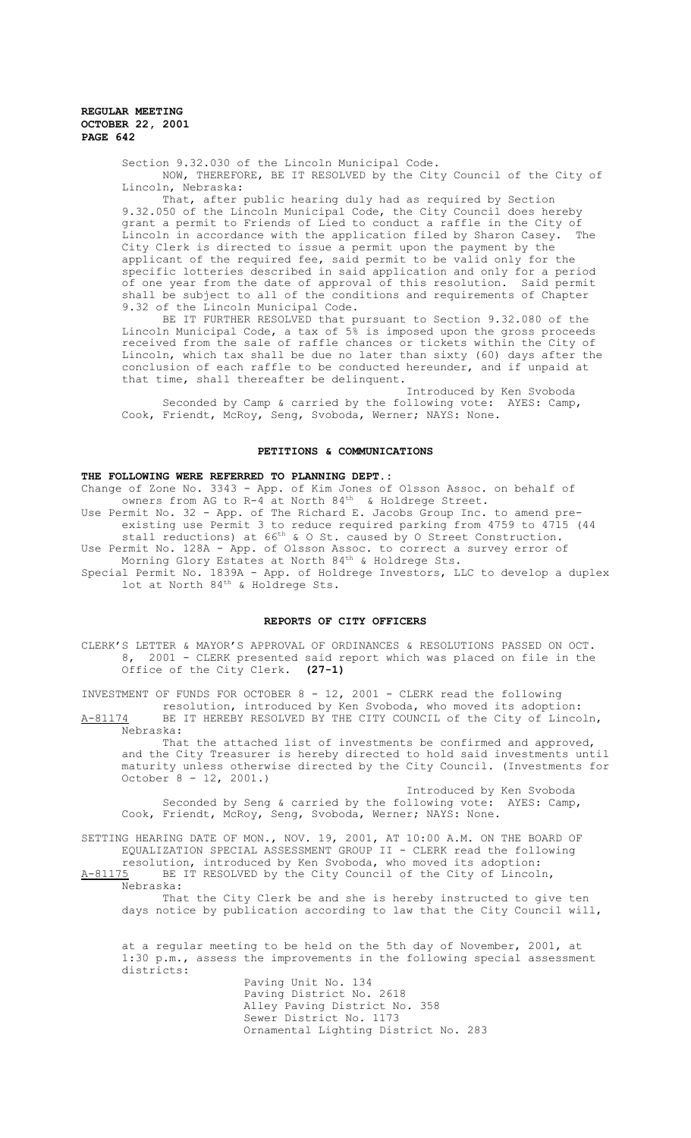Section 9.32.030 of the Lincoln Municipal Code. NOW, THEREFORE, BE IT RESOLVED by the City Council of the City of Lincoln, Nebraska:

That, after public hearing duly had as required by Section 9.32.050 of the Lincoln Municipal Code, the City Council does hereby grant a permit to Friends of Lied to conduct a raffle in the City of<br>Lincoln in accordance with the application filed by Sharon Casey. The Lincoln in accordance with the application filed by Sharon Casey. City Clerk is directed to issue a permit upon the payment by the applicant of the required fee, said permit to be valid only for the specific lotteries described in said application and only for a period of one year from the date of approval of this resolution. Said permit shall be subject to all of the conditions and requirements of Chapter 9.32 of the Lincoln Municipal Code.

BE IT FURTHER RESOLVED that pursuant to Section 9.32.080 of the Lincoln Municipal Code, a tax of 5% is imposed upon the gross proceeds received from the sale of raffle chances or tickets within the City of Lincoln, which tax shall be due no later than sixty (60) days after the conclusion of each raffle to be conducted hereunder, and if unpaid at that time, shall thereafter be delinquent.

Introduced by Ken Svoboda Seconded by Camp & carried by the following vote: AYES: Camp, Cook, Friendt, McRoy, Seng, Svoboda, Werner; NAYS: None.

#### **PETITIONS & COMMUNICATIONS**

# **THE FOLLOWING WERE REFERRED TO PLANNING DEPT.:**

Change of Zone No. 3343 - App. of Kim Jones of Olsson Assoc. on behalf of owners from AG to R-4 at North 84<sup>th</sup> & Holdrege Street. Use Permit No. 32 - App. of The Richard E. Jacobs Group Inc. to amend preexisting use Permit 3 to reduce required parking from 4759 to 4715 (44 stall reductions) at 66<sup>th</sup> & O St. caused by O Street Construction. Use Permit No. 128A - App. of Olsson Assoc. to correct a survey error of Morning Glory Estates at North  $84^{\text{th}}$  & Holdrege Sts. Special Permit No. 1839A - App. of Holdrege Investors, LLC to develop a duplex lot at North 84<sup>th</sup> & Holdrege Sts.

#### **REPORTS OF CITY OFFICERS**

CLERK'S LETTER & MAYOR'S APPROVAL OF ORDINANCES & RESOLUTIONS PASSED ON OCT. 8, 2001 - CLERK presented said report which was placed on file in the Office of the City Clerk. **(27-1)**

INVESTMENT OF FUNDS FOR OCTOBER 8 - 12, 2001 - CLERK read the following resolution, introduced by Ken Svoboda, who moved its adoption: A-81174 BE IT HEREBY RESOLVED BY THE CITY COUNCIL of the City of Lincoln,

Nebraska: That the attached list of investments be confirmed and approved, and the City Treasurer is hereby directed to hold said investments until maturity unless otherwise directed by the City Council. (Investments for October 8 - 12, 2001.)

Introduced by Ken Svoboda Seconded by Seng & carried by the following vote: AYES: Camp, Cook, Friendt, McRoy, Seng, Svoboda, Werner; NAYS: None.

SETTING HEARING DATE OF MON., NOV. 19, 2001, AT 10:00 A.M. ON THE BOARD OF EQUALIZATION SPECIAL ASSESSMENT GROUP II - CLERK read the following resolution, introduced by Ken Svoboda, who moved its adoption:

A-81175 BE IT RESOLVED by the City Council of the City of Lincoln, Nebraska:

That the City Clerk be and she is hereby instructed to give ten days notice by publication according to law that the City Council will,

at a regular meeting to be held on the 5th day of November, 2001, at 1:30 p.m., assess the improvements in the following special assessment districts:

Paving Unit No. 134 Paving District No. 2618 Alley Paving District No. 358 Sewer District No. 1173 Ornamental Lighting District No. 283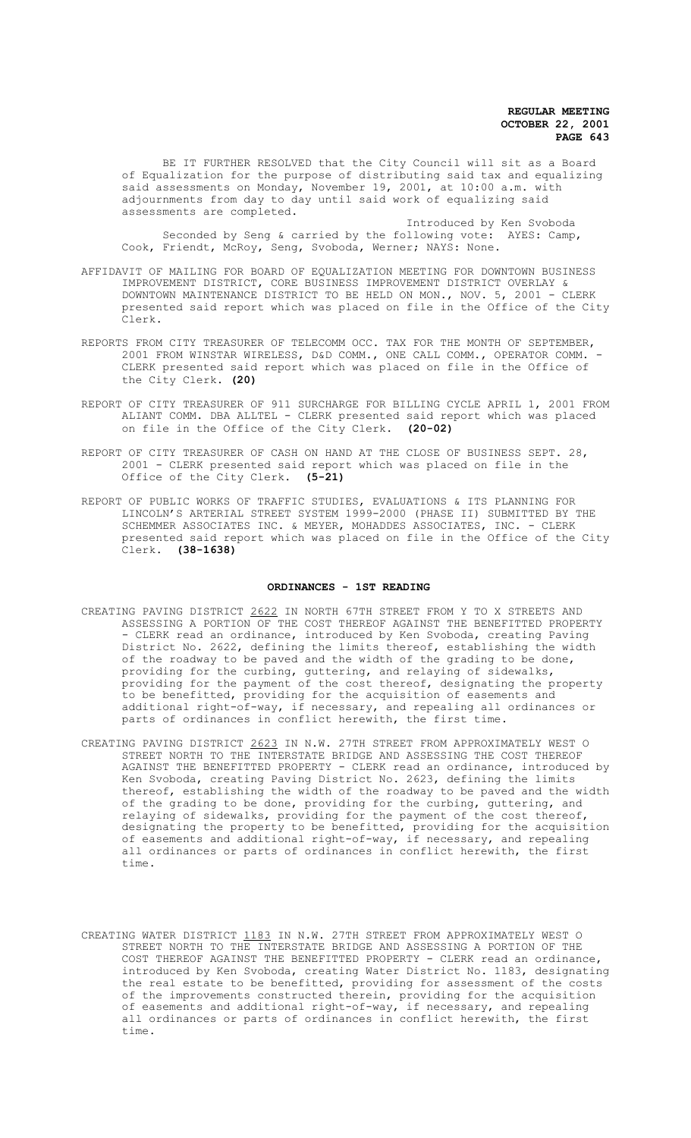BE IT FURTHER RESOLVED that the City Council will sit as a Board of Equalization for the purpose of distributing said tax and equalizing said assessments on Monday, November 19, 2001, at 10:00 a.m. with adjournments from day to day until said work of equalizing said assessments are completed.

Introduced by Ken Svoboda Seconded by Seng & carried by the following vote: AYES: Camp, Cook, Friendt, McRoy, Seng, Svoboda, Werner; NAYS: None.

- AFFIDAVIT OF MAILING FOR BOARD OF EQUALIZATION MEETING FOR DOWNTOWN BUSINESS IMPROVEMENT DISTRICT, CORE BUSINESS IMPROVEMENT DISTRICT OVERLAY & DOWNTOWN MAINTENANCE DISTRICT TO BE HELD ON MON., NOV. 5, 2001 - CLERK presented said report which was placed on file in the Office of the City Clerk.
- REPORTS FROM CITY TREASURER OF TELECOMM OCC. TAX FOR THE MONTH OF SEPTEMBER, 2001 FROM WINSTAR WIRELESS, D&D COMM., ONE CALL COMM., OPERATOR COMM. - CLERK presented said report which was placed on file in the Office of the City Clerk. **(20)**
- REPORT OF CITY TREASURER OF 911 SURCHARGE FOR BILLING CYCLE APRIL 1, 2001 FROM ALIANT COMM. DBA ALLTEL - CLERK presented said report which was placed on file in the Office of the City Clerk. **(20-02)**
- REPORT OF CITY TREASURER OF CASH ON HAND AT THE CLOSE OF BUSINESS SEPT. 28, 2001 - CLERK presented said report which was placed on file in the Office of the City Clerk. **(5-21)**
- REPORT OF PUBLIC WORKS OF TRAFFIC STUDIES, EVALUATIONS & ITS PLANNING FOR LINCOLN'S ARTERIAL STREET SYSTEM 1999-2000 (PHASE II) SUBMITTED BY THE SCHEMMER ASSOCIATES INC. & MEYER, MOHADDES ASSOCIATES, INC. - CLERK presented said report which was placed on file in the Office of the City Clerk. **(38-1638)**

#### **ORDINANCES - 1ST READING**

- CREATING PAVING DISTRICT 2622 IN NORTH 67TH STREET FROM Y TO X STREETS AND ASSESSING A PORTION OF THE COST THEREOF AGAINST THE BENEFITTED PROPERTY - CLERK read an ordinance, introduced by Ken Svoboda, creating Paving District No. 2622, defining the limits thereof, establishing the width of the roadway to be paved and the width of the grading to be done, providing for the curbing, guttering, and relaying of sidewalks, providing for the payment of the cost thereof, designating the property to be benefitted, providing for the acquisition of easements and additional right-of-way, if necessary, and repealing all ordinances or parts of ordinances in conflict herewith, the first time.
- CREATING PAVING DISTRICT 2623 IN N.W. 27TH STREET FROM APPROXIMATELY WEST O STREET NORTH TO THE INTERSTATE BRIDGE AND ASSESSING THE COST THEREOF AGAINST THE BENEFITTED PROPERTY - CLERK read an ordinance, introduced by Ken Svoboda, creating Paving District No. 2623, defining the limits thereof, establishing the width of the roadway to be paved and the width of the grading to be done, providing for the curbing, guttering, and relaying of sidewalks, providing for the payment of the cost thereof, designating the property to be benefitted, providing for the acquisition of easements and additional right-of-way, if necessary, and repealing all ordinances or parts of ordinances in conflict herewith, the first time.
- CREATING WATER DISTRICT 1183 IN N.W. 27TH STREET FROM APPROXIMATELY WEST O STREET NORTH TO THE INTERSTATE BRIDGE AND ASSESSING A PORTION OF THE COST THEREOF AGAINST THE BENEFITTED PROPERTY - CLERK read an ordinance, introduced by Ken Svoboda, creating Water District No. 1183, designating the real estate to be benefitted, providing for assessment of the costs of the improvements constructed therein, providing for the acquisition of easements and additional right-of-way, if necessary, and repealing all ordinances or parts of ordinances in conflict herewith, the first time.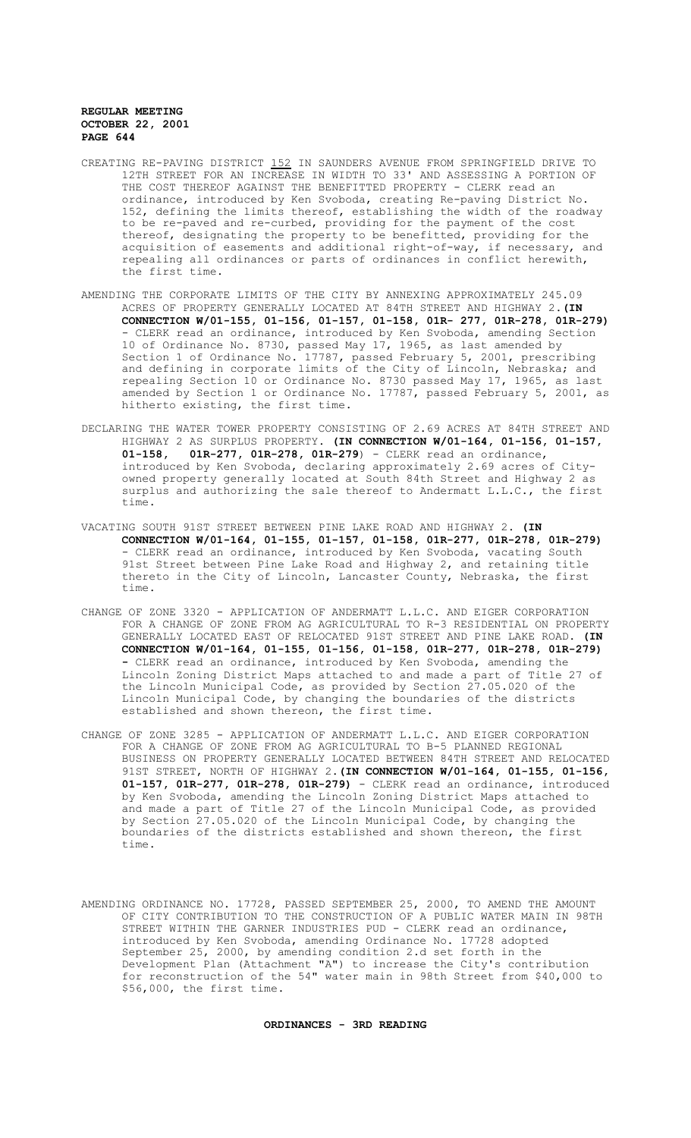- CREATING RE-PAVING DISTRICT 152 IN SAUNDERS AVENUE FROM SPRINGFIELD DRIVE TO 12TH STREET FOR AN INCREASE IN WIDTH TO 33' AND ASSESSING A PORTION OF THE COST THEREOF AGAINST THE BENEFITTED PROPERTY - CLERK read an ordinance, introduced by Ken Svoboda, creating Re-paving District No. 152, defining the limits thereof, establishing the width of the roadway to be re-paved and re-curbed, providing for the payment of the cost thereof, designating the property to be benefitted, providing for the acquisition of easements and additional right-of-way, if necessary, and repealing all ordinances or parts of ordinances in conflict herewith, the first time.
- AMENDING THE CORPORATE LIMITS OF THE CITY BY ANNEXING APPROXIMATELY 245.09 ACRES OF PROPERTY GENERALLY LOCATED AT 84TH STREET AND HIGHWAY 2.**(IN CONNECTION W/01-155, 01-156, 01-157, 01-158, 01R- 277, 01R-278, 01R-279)** - CLERK read an ordinance, introduced by Ken Svoboda, amending Section 10 of Ordinance No. 8730, passed May 17, 1965, as last amended by Section 1 of Ordinance No. 17787, passed February 5, 2001, prescribing and defining in corporate limits of the City of Lincoln, Nebraska; and repealing Section 10 or Ordinance No. 8730 passed May 17, 1965, as last amended by Section 1 or Ordinance No. 17787, passed February 5, 2001, as hitherto existing, the first time.
- DECLARING THE WATER TOWER PROPERTY CONSISTING OF 2.69 ACRES AT 84TH STREET AND HIGHWAY 2 AS SURPLUS PROPERTY. **(IN CONNECTION W/01-164, 01-156, 01-157,** 01R-277, 01R-278, 01R-279) - CLERK read an ordinance, introduced by Ken Svoboda, declaring approximately 2.69 acres of Cityowned property generally located at South 84th Street and Highway 2 as surplus and authorizing the sale thereof to Andermatt L.L.C., the first time.
- VACATING SOUTH 91ST STREET BETWEEN PINE LAKE ROAD AND HIGHWAY 2. **(IN CONNECTION W/01-164, 01-155, 01-157, 01-158, 01R-277, 01R-278, 01R-279)**  - CLERK read an ordinance, introduced by Ken Svoboda, vacating South 91st Street between Pine Lake Road and Highway 2, and retaining title thereto in the City of Lincoln, Lancaster County, Nebraska, the first time.
- CHANGE OF ZONE 3320 APPLICATION OF ANDERMATT L.L.C. AND EIGER CORPORATION FOR A CHANGE OF ZONE FROM AG AGRICULTURAL TO R-3 RESIDENTIAL ON PROPERTY GENERALLY LOCATED EAST OF RELOCATED 91ST STREET AND PINE LAKE ROAD. **(IN CONNECTION W/01-164, 01-155, 01-156, 01-158, 01R-277, 01R-278, 01R-279) -** CLERK read an ordinance, introduced by Ken Svoboda, amending the Lincoln Zoning District Maps attached to and made a part of Title 27 of the Lincoln Municipal Code, as provided by Section 27.05.020 of the Lincoln Municipal Code, by changing the boundaries of the districts established and shown thereon, the first time.
- CHANGE OF ZONE 3285 APPLICATION OF ANDERMATT L.L.C. AND EIGER CORPORATION FOR A CHANGE OF ZONE FROM AG AGRICULTURAL TO B-5 PLANNED REGIONAL BUSINESS ON PROPERTY GENERALLY LOCATED BETWEEN 84TH STREET AND RELOCATED 91ST STREET, NORTH OF HIGHWAY 2.**(IN CONNECTION W/01-164, 01-155, 01-156, 01-157, 01R-277, 01R-278, 01R-279)** - CLERK read an ordinance, introduced by Ken Svoboda, amending the Lincoln Zoning District Maps attached to and made a part of Title 27 of the Lincoln Municipal Code, as provided by Section 27.05.020 of the Lincoln Municipal Code, by changing the boundaries of the districts established and shown thereon, the first time.
- AMENDING ORDINANCE NO. 17728, PASSED SEPTEMBER 25, 2000, TO AMEND THE AMOUNT OF CITY CONTRIBUTION TO THE CONSTRUCTION OF A PUBLIC WATER MAIN IN 98TH STREET WITHIN THE GARNER INDUSTRIES PUD - CLERK read an ordinance, introduced by Ken Svoboda, amending Ordinance No. 17728 adopted September 25, 2000, by amending condition 2.d set forth in the Development Plan (Attachment "A") to increase the City's contribution for reconstruction of the 54" water main in 98th Street from \$40,000 to \$56,000, the first time.